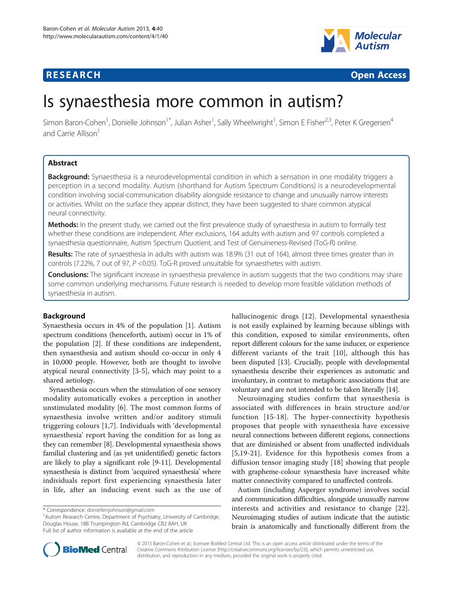



# Is synaesthesia more common in autism?

Simon Baron-Cohen<sup>1</sup>, Donielle Johnson<sup>1\*</sup>, Julian Asher<sup>1</sup>, Sally Wheelwright<sup>1</sup>, Simon E Fisher<sup>2,3</sup>, Peter K Gregersen<sup>4</sup> and Carrie Allison<sup>1</sup>

# Abstract

Background: Synaesthesia is a neurodevelopmental condition in which a sensation in one modality triggers a perception in a second modality. Autism (shorthand for Autism Spectrum Conditions) is a neurodevelopmental condition involving social-communication disability alongside resistance to change and unusually narrow interests or activities. Whilst on the surface they appear distinct, they have been suggested to share common atypical neural connectivity.

Methods: In the present study, we carried out the first prevalence study of synaesthesia in autism to formally test whether these conditions are independent. After exclusions, 164 adults with autism and 97 controls completed a synaesthesia questionnaire, Autism Spectrum Quotient, and Test of Genuineness-Revised (ToG-R) online.

Results: The rate of synaesthesia in adults with autism was 18.9% (31 out of 164), almost three times greater than in controls (7.22%, 7 out of 97, P <0.05). ToG-R proved unsuitable for synaesthetes with autism.

Conclusions: The significant increase in synaesthesia prevalence in autism suggests that the two conditions may share some common underlying mechanisms. Future research is needed to develop more feasible validation methods of synaesthesia in autism.

# Background

Synaesthesia occurs in 4% of the population [[1\]](#page-4-0). Autism spectrum conditions (henceforth, autism) occur in 1% of the population [[2\]](#page-4-0). If these conditions are independent, then synaesthesia and autism should co-occur in only 4 in 10,000 people. However, both are thought to involve atypical neural connectivity [[3-5\]](#page-4-0), which may point to a shared aetiology.

Synaesthesia occurs when the stimulation of one sensory modality automatically evokes a perception in another unstimulated modality [\[6\]](#page-4-0). The most common forms of synaesthesia involve written and/or auditory stimuli triggering colours [[1,7](#page-4-0)]. Individuals with 'developmental synaesthesia' report having the condition for as long as they can remember [[8](#page-4-0)]. Developmental synaesthesia shows familial clustering and (as yet unidentified) genetic factors are likely to play a significant role [\[9](#page-4-0)-[11](#page-4-0)]. Developmental synaesthesia is distinct from 'acquired synaesthesia' where individuals report first experiencing synaesthesia later in life, after an inducing event such as the use of

<sup>1</sup> Autism Research Centre, Department of Psychiatry, University of Cambridge, Douglas House, 18B Trumpington Rd, Cambridge CB2 8AH, UK Full list of author information is available at the end of the article

hallucinogenic drugs [\[12\]](#page-4-0). Developmental synaesthesia is not easily explained by learning because siblings with this condition, exposed to similar environments, often report different colours for the same inducer, or experience different variants of the trait [\[10\]](#page-4-0), although this has been disputed [[13](#page-5-0)]. Crucially, people with developmental synaesthesia describe their experiences as automatic and involuntary, in contrast to metaphoric associations that are voluntary and are not intended to be taken literally [\[14](#page-5-0)].

Neuroimaging studies confirm that synaesthesia is associated with differences in brain structure and/or function [[15](#page-5-0)-[18\]](#page-5-0). The hyper-connectivity hypothesis proposes that people with synaesthesia have excessive neural connections between different regions, connections that are diminished or absent from unaffected individuals [[5](#page-4-0)[,19](#page-5-0)-[21\]](#page-5-0). Evidence for this hypothesis comes from a diffusion tensor imaging study [\[18](#page-5-0)] showing that people with grapheme-colour synaesthesia have increased white matter connectivity compared to unaffected controls.

Autism (including Asperger syndrome) involves social and communication difficulties, alongside unusually narrow interests and activities and resistance to change [\[22](#page-5-0)]. Neuroimaging studies of autism indicate that the autistic brain is anatomically and functionally different from the



© 2013 Baron-Cohen et al.; licensee BioMed Central Ltd. This is an open access article distributed under the terms of the Creative Commons Attribution License (<http://creativecommons.org/licenses/by/2.0>), which permits unrestricted use, distribution, and reproduction in any medium, provided the original work is properly cited.

<sup>\*</sup> Correspondence: [doniellenjohnson@gmail.com](mailto:doniellenjohnson@gmail.com) <sup>1</sup>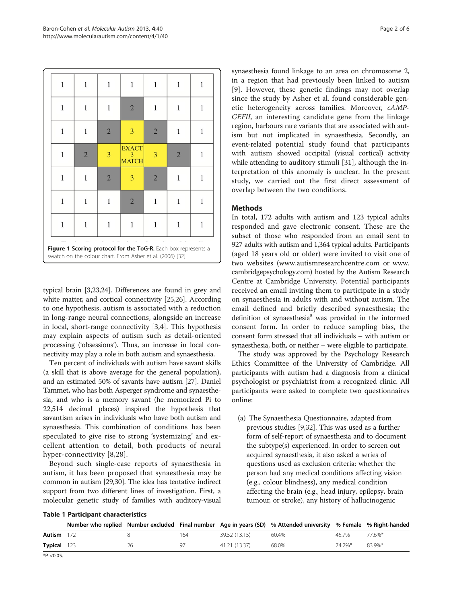<span id="page-1-0"></span>

| 1                                                                                                                                                                                      | 1              | 1              | 1                                 | 1              | 1              | 1 |
|----------------------------------------------------------------------------------------------------------------------------------------------------------------------------------------|----------------|----------------|-----------------------------------|----------------|----------------|---|
| 1                                                                                                                                                                                      |                | 1              | $\overline{2}$                    |                | 1              |   |
| 1                                                                                                                                                                                      | 1              | $\overline{2}$ | 3                                 | $\overline{2}$ | 1              | 1 |
| 1                                                                                                                                                                                      | $\overline{2}$ | 3              | <b>EXACT</b><br>3<br><b>MATCH</b> | 3              | $\overline{2}$ |   |
| 1                                                                                                                                                                                      | 1              | $\overline{2}$ | 3                                 | $\overline{2}$ | 1              | 1 |
| 1                                                                                                                                                                                      | 1              | 1              | $\overline{2}$                    | 1              | 1              | 1 |
| 1                                                                                                                                                                                      |                |                | 1                                 |                | 1              |   |
| $\sim$<br>$\sim$<br>$\sim$<br>$\overline{\phantom{a}}$<br>Figure 1 Scoring protocol for the ToG-R. Each box represents a<br>swatch on the colour chart. From Asher et al. (2006) [32]. |                |                |                                   |                |                |   |

typical brain [\[3](#page-4-0)[,23,24](#page-5-0)]. Differences are found in grey and white matter, and cortical connectivity [\[25,26](#page-5-0)]. According to one hypothesis, autism is associated with a reduction in long-range neural connections, alongside an increase in local, short-range connectivity [\[3,4](#page-4-0)]. This hypothesis may explain aspects of autism such as detail-oriented processing ('obsessions'). Thus, an increase in local connectivity may play a role in both autism and synaesthesia.

Ten percent of individuals with autism have savant skills (a skill that is above average for the general population), and an estimated 50% of savants have autism [[27](#page-5-0)]. Daniel Tammet, who has both Asperger syndrome and synaesthesia, and who is a memory savant (he memorized Pi to 22,514 decimal places) inspired the hypothesis that savantism arises in individuals who have both autism and synaesthesia. This combination of conditions has been speculated to give rise to strong 'systemizing' and excellent attention to detail, both products of neural hyper-connectivity [\[8,](#page-4-0)[28\]](#page-5-0).

Beyond such single-case reports of synaesthesia in autism, it has been proposed that synaesthesia may be common in autism [\[29,30](#page-5-0)]. The idea has tentative indirect support from two different lines of investigation. First, a molecular genetic study of families with auditory-visual synaesthesia found linkage to an area on chromosome 2, in a region that had previously been linked to autism [[9](#page-4-0)]. However, these genetic findings may not overlap since the study by Asher et al. found considerable genetic heterogeneity across families. Moreover, cAMP-GEFII, an interesting candidate gene from the linkage region, harbours rare variants that are associated with autism but not implicated in synaesthesia. Secondly, an event-related potential study found that participants with autism showed occipital (visual cortical) activity while attending to auditory stimuli [[31\]](#page-5-0), although the interpretation of this anomaly is unclear. In the present study, we carried out the first direct assessment of overlap between the two conditions.

# Methods

In total, 172 adults with autism and 123 typical adults responded and gave electronic consent. These are the subset of those who responded from an email sent to 927 adults with autism and 1,364 typical adults. Participants (aged 18 years old or older) were invited to visit one of two websites [\(www.autismresearchcentre.com](http://www.autismresearchcentre.com) or [www.](http://www.cambridgepsychology.com) [cambridgepsychology.com\)](http://www.cambridgepsychology.com) hosted by the Autism Research Centre at Cambridge University. Potential participants received an email inviting them to participate in a study on synaesthesia in adults with and without autism. The email defined and briefly described synaesthesia; the definition of synaesthesia<sup>a</sup> was provided in the informed consent form. In order to reduce sampling bias, the consent form stressed that all individuals – with autism or synaesthesia, both, or neither – were eligible to participate.

The study was approved by the Psychology Research Ethics Committee of the University of Cambridge. All participants with autism had a diagnosis from a clinical psychologist or psychiatrist from a recognized clinic. All participants were asked to complete two questionnaires online:

(a) The Synaesthesia Questionnaire, adapted from previous studies [\[9,](#page-4-0)[32\]](#page-5-0). This was used as a further form of self-report of synaesthesia and to document the subtype(s) experienced. In order to screen out acquired synaesthesia, it also asked a series of questions used as exclusion criteria: whether the person had any medical conditions affecting vision (e.g., colour blindness), any medical condition affecting the brain (e.g., head injury, epilepsy, brain tumour, or stroke), any history of hallucinogenic

| <b>Table 1 Participant characteristics</b> |  |
|--------------------------------------------|--|
|--------------------------------------------|--|

|         |     |    |     |               | Number who replied Number excluded Final number Age in years (SD) % Attended university % Female % Right-handed |        |        |
|---------|-----|----|-----|---------------|-----------------------------------------------------------------------------------------------------------------|--------|--------|
| Autism  | 172 |    | 164 | 39.52 (13.15) | 60.4%                                                                                                           | 45 7%  | 77.6%* |
| Typical | 123 | 26 | 97  | 41.21 (13.37) | 68.0%                                                                                                           | 74.2%* | 83.9%* |

\*P <0.05.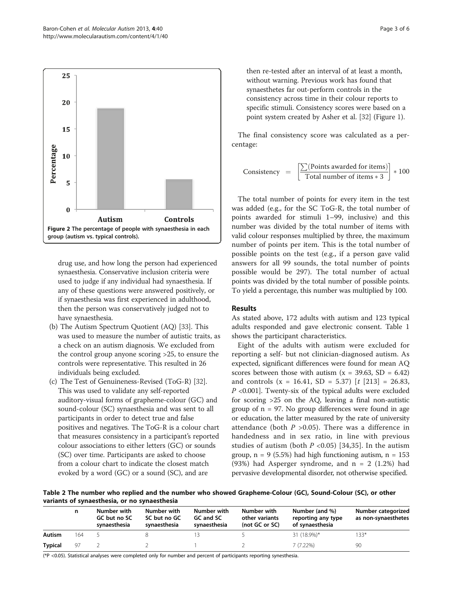<span id="page-2-0"></span>

drug use, and how long the person had experienced synaesthesia. Conservative inclusion criteria were used to judge if any individual had synaesthesia. If any of these questions were answered positively, or if synaesthesia was first experienced in adulthood, then the person was conservatively judged not to have synaesthesia.

- (b) The Autism Spectrum Quotient (AQ) [\[33](#page-5-0)]. This was used to measure the number of autistic traits, as a check on an autism diagnosis. We excluded from the control group anyone scoring >25, to ensure the controls were representative. This resulted in 26 individuals being excluded.
- (c) The Test of Genuineness-Revised (ToG-R) [[32](#page-5-0)]. This was used to validate any self-reported auditory-visual forms of grapheme-colour (GC) and sound-colour (SC) synaesthesia and was sent to all participants in order to detect true and false positives and negatives. The ToG-R is a colour chart that measures consistency in a participant's reported colour associations to either letters (GC) or sounds (SC) over time. Participants are asked to choose from a colour chart to indicate the closest match evoked by a word (GC) or a sound (SC), and are

then re-tested after an interval of at least a month, without warning. Previous work has found that synaesthetes far out-perform controls in the consistency across time in their colour reports to specific stimuli. Consistency scores were based on a point system created by Asher et al. [[32](#page-5-0)] (Figure [1](#page-1-0)).

The final consistency score was calculated as a percentage:

Consistency = 
$$
\left[ \frac{\sum (\text{Points awarded for items})}{\text{Total number of items} * 3} \right] * 100
$$

The total number of points for every item in the test was added (e.g., for the SC ToG-R, the total number of points awarded for stimuli 1–99, inclusive) and this number was divided by the total number of items with valid colour responses multiplied by three, the maximum number of points per item. This is the total number of possible points on the test (e.g., if a person gave valid answers for all 99 sounds, the total number of points possible would be 297). The total number of actual points was divided by the total number of possible points. To yield a percentage, this number was multiplied by 100.

# Results

As stated above, 172 adults with autism and 123 typical adults responded and gave electronic consent. Table [1](#page-1-0) shows the participant characteristics.

Eight of the adults with autism were excluded for reporting a self- but not clinician-diagnosed autism. As expected, significant differences were found for mean AQ scores between those with autism  $(x = 39.63, SD = 6.42)$ and controls (x = 16.41, SD = 5.37)  $[t [213] = 26.83]$ ,  $P \le 0.001$ . Twenty-six of the typical adults were excluded for scoring >25 on the AQ, leaving a final non-autistic group of  $n = 97$ . No group differences were found in age or education, the latter measured by the rate of university attendance (both  $P > 0.05$ ). There was a difference in handedness and in sex ratio, in line with previous studies of autism (both  $P < 0.05$ ) [\[34,35](#page-5-0)]. In the autism group,  $n = 9$  (5.5%) had high functioning autism,  $n = 153$ (93%) had Asperger syndrome, and  $n = 2$  (1.2%) had pervasive developmental disorder, not otherwise specified.

Table 2 The number who replied and the number who showed Grapheme-Colour (GC), Sound-Colour (SC), or other variants of synaesthesia, or no synaesthesia

|                | n   | Number with<br>GC but no SC<br>synaesthesia | Number with<br>SC but no GC<br>synaesthesia | Number with<br>GC and SC<br>synaesthesia | Number with<br>other variants<br>(not GC or SC) | Number (and %)<br>reporting any type<br>of synaesthesia | Number categorized<br>as non-synaesthetes |
|----------------|-----|---------------------------------------------|---------------------------------------------|------------------------------------------|-------------------------------------------------|---------------------------------------------------------|-------------------------------------------|
| Autism         | 164 |                                             |                                             |                                          |                                                 | 31 (18.9%)*                                             | $133*$                                    |
| <b>Typical</b> | 97  |                                             |                                             |                                          |                                                 | 7(7.22%)                                                | 90                                        |

(\*P <0.05). Statistical analyses were completed only for number and percent of participants reporting synesthesia.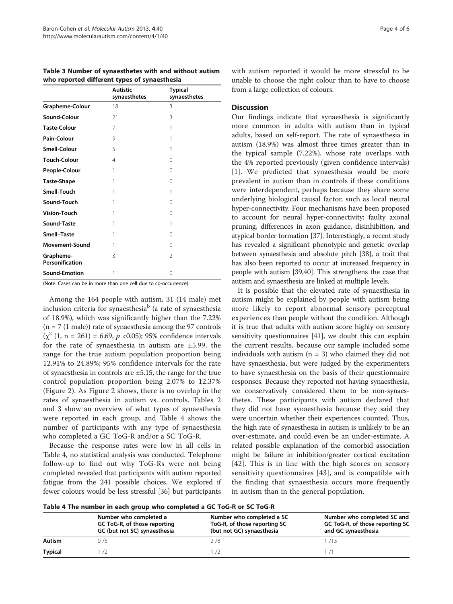Table 3 Number of synaesthetes with and without autism who reported different types of synaesthesia

|                              | <b>Autistic</b><br>synaesthetes | <b>Typical</b><br>synaesthetes |  |
|------------------------------|---------------------------------|--------------------------------|--|
| Grapheme-Colour              | 18                              | 3                              |  |
| Sound-Colour                 | 21                              | 3                              |  |
| <b>Taste-Colour</b>          | 7                               | 1                              |  |
| Pain-Colour                  | 9                               | 1                              |  |
| <b>Smell-Colour</b>          | 5                               | 1                              |  |
| <b>Touch-Colour</b>          | $\overline{4}$                  | 0                              |  |
| People-Colour                | 1                               | $\Omega$                       |  |
| <b>Taste-Shape</b>           | 1                               | $\Omega$                       |  |
| Smell-Touch                  | 1                               | 1                              |  |
| Sound-Touch                  | 1                               | 0                              |  |
| <b>Vision-Touch</b>          | 1                               | 0                              |  |
| Sound-Taste                  | 1                               | 1                              |  |
| Smell-Taste                  | 1                               | 0                              |  |
| <b>Movement-Sound</b>        | 1                               | 0                              |  |
| Grapheme-<br>Personification | 3                               | $\overline{\phantom{a}}$       |  |
| <b>Sound-Emotion</b>         | 1                               | 0                              |  |

(Note: Cases can be in more than one cell due to co-occurrence).

Among the 164 people with autism, 31 (14 male) met inclusion criteria for synaesthesia<sup>b</sup> (a rate of synaesthesia of 18.9%), which was significantly higher than the 7.22%  $(n = 7 (1 \text{ male}))$  rate of synaesthesia among the 97 controls  $(\chi^2 (1, n = 261) = 6.69, p < 0.05)$ ; 95% confidence intervals for the rate of synaesthesia in autism are ±5.99, the range for the true autism population proportion being 12.91% to 24.89%; 95% confidence intervals for the rate of synaesthesia in controls are ±5.15, the range for the true control population proportion being 2.07% to 12.37% (Figure [2](#page-2-0)). As Figure [2](#page-2-0) shows, there is no overlap in the rates of synaesthesia in autism vs. controls. Tables [2](#page-2-0) and 3 show an overview of what types of synaesthesia were reported in each group, and Table 4 shows the number of participants with any type of synaesthesia who completed a GC ToG-R and/or a SC ToG-R.

Because the response rates were low in all cells in Table 4, no statistical analysis was conducted. Telephone follow-up to find out why ToG-Rs were not being completed revealed that participants with autism reported fatigue from the 241 possible choices. We explored if fewer colours would be less stressful [\[36\]](#page-5-0) but participants

with autism reported it would be more stressful to be unable to choose the right colour than to have to choose from a large collection of colours.

# **Discussion**

Our findings indicate that synaesthesia is significantly more common in adults with autism than in typical adults, based on self-report. The rate of synaesthesia in autism (18.9%) was almost three times greater than in the typical sample (7.22%), whose rate overlaps with the 4% reported previously (given confidence intervals) [[1](#page-4-0)]. We predicted that synaesthesia would be more prevalent in autism than in controls if these conditions were interdependent, perhaps because they share some underlying biological causal factor, such as local neural hyper-connectivity. Four mechanisms have been proposed to account for neural hyper-connectivity: faulty axonal pruning, differences in axon guidance, disinhibition, and atypical border formation [[37\]](#page-5-0). Interestingly, a recent study has revealed a significant phenotypic and genetic overlap between synaesthesia and absolute pitch [[38](#page-5-0)], a trait that has also been reported to occur at increased frequency in people with autism [[39,40\]](#page-5-0). This strengthens the case that autism and synaesthesia are linked at multiple levels.

It is possible that the elevated rate of synaesthesia in autism might be explained by people with autism being more likely to report abnormal sensory perceptual experiences than people without the condition. Although it is true that adults with autism score highly on sensory sensitivity questionnaires [[41](#page-5-0)], we doubt this can explain the current results, because our sample included some individuals with autism  $(n = 3)$  who claimed they did not have synaesthesia, but were judged by the experimenters to have synaesthesia on the basis of their questionnaire responses. Because they reported not having synaesthesia, we conservatively considered them to be non-synaesthetes. These participants with autism declared that they did not have synaesthesia because they said they were uncertain whether their experiences counted. Thus, the high rate of synaesthesia in autism is unlikely to be an over-estimate, and could even be an under-estimate. A related possible explanation of the comorbid association might be failure in inhibition/greater cortical excitation [[42](#page-5-0)]. This is in line with the high scores on sensory sensitivity questionnaires [[43](#page-5-0)], and is compatible with the finding that synaesthesia occurs more frequently in autism than in the general population.

| Table 4 The number in each group who completed a GC ToG-R or SC ToG-R |  |  |
|-----------------------------------------------------------------------|--|--|
|-----------------------------------------------------------------------|--|--|

|                | Number who completed a<br>GC ToG-R, of those reporting<br>GC (but not SC) synaesthesia | Number who completed a SC<br>ToG-R, of those reporting SC<br>(but not GC) synaesthesia | Number who completed SC and<br>GC ToG-R, of those reporting SC<br>and GC synaesthesia |  |
|----------------|----------------------------------------------------------------------------------------|----------------------------------------------------------------------------------------|---------------------------------------------------------------------------------------|--|
| Autism         | ว /ร                                                                                   | 2 /8                                                                                   | - /13                                                                                 |  |
| <b>Typical</b> |                                                                                        |                                                                                        |                                                                                       |  |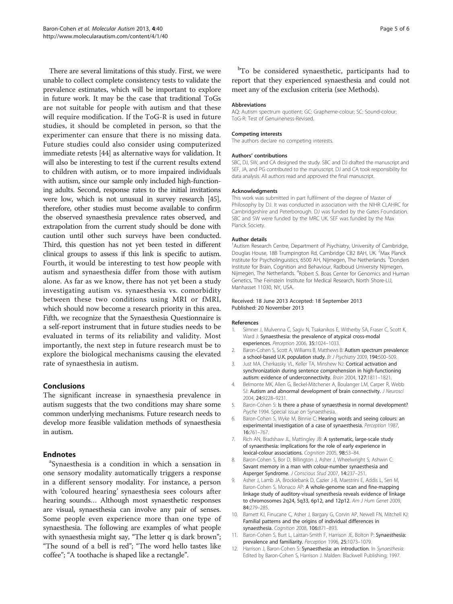<span id="page-4-0"></span>There are several limitations of this study. First, we were unable to collect complete consistency tests to validate the prevalence estimates, which will be important to explore in future work. It may be the case that traditional ToGs are not suitable for people with autism and that these will require modification. If the ToG-R is used in future studies, it should be completed in person, so that the experimenter can ensure that there is no missing data. Future studies could also consider using computerized immediate retests [\[44\]](#page-5-0) as alternative ways for validation. It will also be interesting to test if the current results extend to children with autism, or to more impaired individuals with autism, since our sample only included high-functioning adults. Second, response rates to the initial invitations were low, which is not unusual in survey research [\[45](#page-5-0)], therefore, other studies must become available to confirm the observed synaesthesia prevalence rates observed, and extrapolation from the current study should be done with caution until other such surveys have been conducted. Third, this question has not yet been tested in different clinical groups to assess if this link is specific to autism. Fourth, it would be interesting to test how people with autism and synaesthesia differ from those with autism alone. As far as we know, there has not yet been a study investigating autism vs. synaesthesia vs. comorbidity between these two conditions using MRI or fMRI, which should now become a research priority in this area. Fifth, we recognize that the Synaesthesia Questionnaire is a self-report instrument that in future studies needs to be evaluated in terms of its reliability and validity. Most importantly, the next step in future research must be to explore the biological mechanisms causing the elevated rate of synaesthesia in autism.

# Conclusions

The significant increase in synaesthesia prevalence in autism suggests that the two conditions may share some common underlying mechanisms. Future research needs to develop more feasible validation methods of synaesthesia in autism.

# **Endnotes**

Synaesthesia is a condition in which a sensation in one sensory modality automatically triggers a response in a different sensory modality. For instance, a person with 'coloured hearing' synaesthesia sees colours after hearing sounds… Although most synaesthetic responses are visual, synaesthesia can involve any pair of senses. Some people even experience more than one type of synaesthesia. The following are examples of what people with synaesthesia might say, "The letter q is dark brown"; "The sound of a bell is red"; "The word hello tastes like coffee"; "A toothache is shaped like a rectangle".

<sup>b</sup>To be considered synaesthetic, participants had to report that they experienced synaesthesia and could not meet any of the exclusion criteria (see [Methods](#page-1-0)).

#### Abbreviations

AQ: Autism spectrum quotient; GC: Grapheme-colour; SC: Sound-colour; ToG-R: Test of Genuineness-Revised.

#### Competing interests

The authors declare no competing interests.

#### Authors' contributions

SBC, DJ, SW, and CA designed the study. SBC and DJ drafted the manuscript and SEF, JA, and PG contributed to the manuscript. DJ and CA took responsibility for data analysis. All authors read and approved the final manuscript.

### Acknowledgments

This work was submitted in part fulfilment of the degree of Master of Philosophy by DJ. It was conducted in association with the NIHR CLAHRC for Cambridgeshire and Peterborough. DJ was funded by the Gates Foundation. SBC and SW were funded by the MRC UK. SEF was funded by the Max Planck Society.

#### Author details

<sup>1</sup> Autism Research Centre, Department of Psychiatry, University of Cambridge, Douglas House, 18B Trumpington Rd, Cambridge CB2 8AH, UK. <sup>2</sup>Max Planck Institute for Psycholinguistics, 6500 AH, Nijmegen, The Netherlands. <sup>3</sup>Donders Institute for Brain, Cognition and Behaviour, Radboud University Nijmegen, Nijmegen, The Netherlands. <sup>4</sup>Robert S. Boas Center for Genomics and Human Genetics, The Feinstein Institute for Medical Research, North Shore-LIJ, Manhasset 11030, NY, USA.

#### Received: 18 June 2013 Accepted: 18 September 2013 Published: 20 November 2013

#### References

- Simner J, Mulvenna C, Sagiv N, Tsakanikos E, Witherby SA, Fraser C, Scott K, Ward J: Synaesthesia: the prevalence of atypical cross-modal experiences. Perception 2006, 35:1024–1033.
- 2. Baron-Cohen S, Scott A, Williams B, Matthews B: Autism spectrum prevalence: a school-based U.K. population study. Br J Psychiatry 2009, 194:500–509.
- 3. Just MA, Cherkassky VL, Keller TA, Minshew NJ: Cortical activation and synchronizatioin during sentence comprehension in high-functioning autism: evidence of underconnectivity. Brain 2004, 127:1811–1821.
- 4. Belmonte MK, Allen G, Beckel-Mitchener A, Boulanger LM, Carper R, Webb SJ: Autism and abnormal development of brain connectivity. J Neurosci 2004, 24:9228–9231.
- 5. Baron-Cohen S: Is there a phase of synaesthesia in normal development? Psyche 1994. Special issue on Synaesthesia.
- 6. Baron-Cohen S, Wyke M, Binnie C: Hearing words and seeing colours: an experimental investigation of a case of synaesthesia. Perception 1987, 16:761–767.
- 7. Rich AN, Bradshaw JL, Mattingley JB: A systematic, large-scale study of synaesthesia: implications for the role of early experience in lexical-colour associations. Cognition 2005, 98:53–84.
- 8. Baron-Cohen S, Bor D, Billington J, Asher J, Wheelwright S, Ashwin C: Savant memory in a man with colour-number synaesthesia and Asperger Syndrome. J Conscious Stud 2007, 14:237–251.
- 9. Asher J, Lamb JA, Brocklebank D, Cazier J-B, Maestrini E, Addis L, Sen M, Baron-Cohen S, Monaco AP: A whole-genome scan and fine-mapping linkage study of auditory-visual synesthesia reveals evidence of linkage to chromosomes 2q24, 5q33, 6p12, and 12p12. Am J Hum Genet 2009, 84:279–285.
- 10. Barnett KJ, Finucane C, Asher J, Bargary G, Corvin AP, Newell FN, Mitchell KJ: Familial patterns and the origins of individual differences in synaesthesia. Cognition 2008, 106:871–893.
- 11. Baron-Cohen S, Burt L, Laittan-Smith F, Harrison JE, Bolton P: Synaesthesia: prevalence and familiarity. Perception 1996, 25:1073–1079.
- 12. Harrison J, Baron-Cohen S: Synaesthesia: an introduction. In Synaesthesia. Edited by Baron-Cohen S, Harrison J. Malden: Blackwell Publishing; 1997.